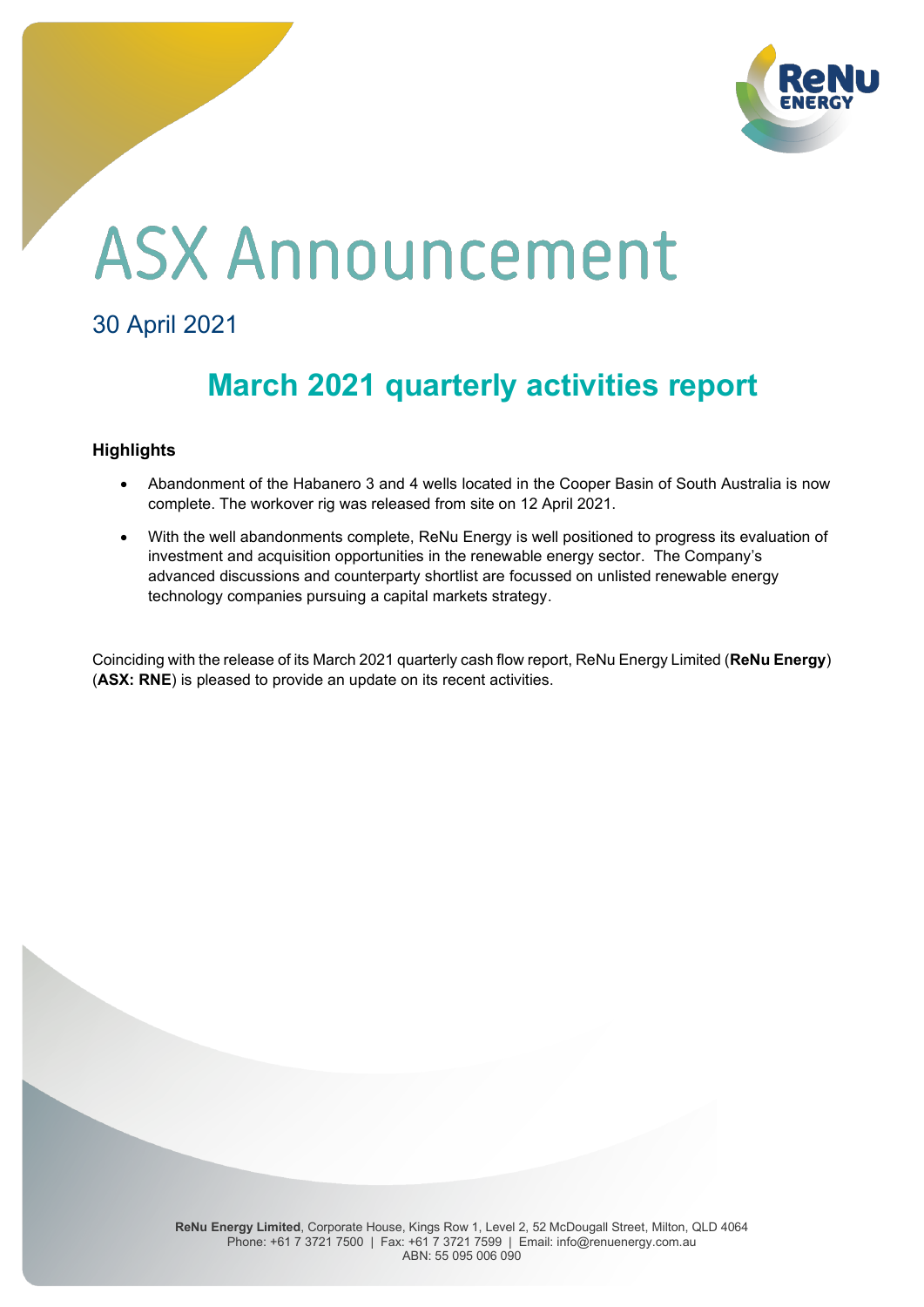

# **ASX Announcement**

## 30 April 2021

# **March 2021 quarterly activities report**

#### **Highlights**

- Abandonment of the Habanero 3 and 4 wells located in the Cooper Basin of South Australia is now complete. The workover rig was released from site on 12 April 2021.
- With the well abandonments complete, ReNu Energy is well positioned to progress its evaluation of investment and acquisition opportunities in the renewable energy sector. The Company's advanced discussions and counterparty shortlist are focussed on unlisted renewable energy technology companies pursuing a capital markets strategy.

Coinciding with the release of its March 2021 quarterly cash flow report, ReNu Energy Limited (**ReNu Energy**) (**ASX: RNE**) is pleased to provide an update on its recent activities.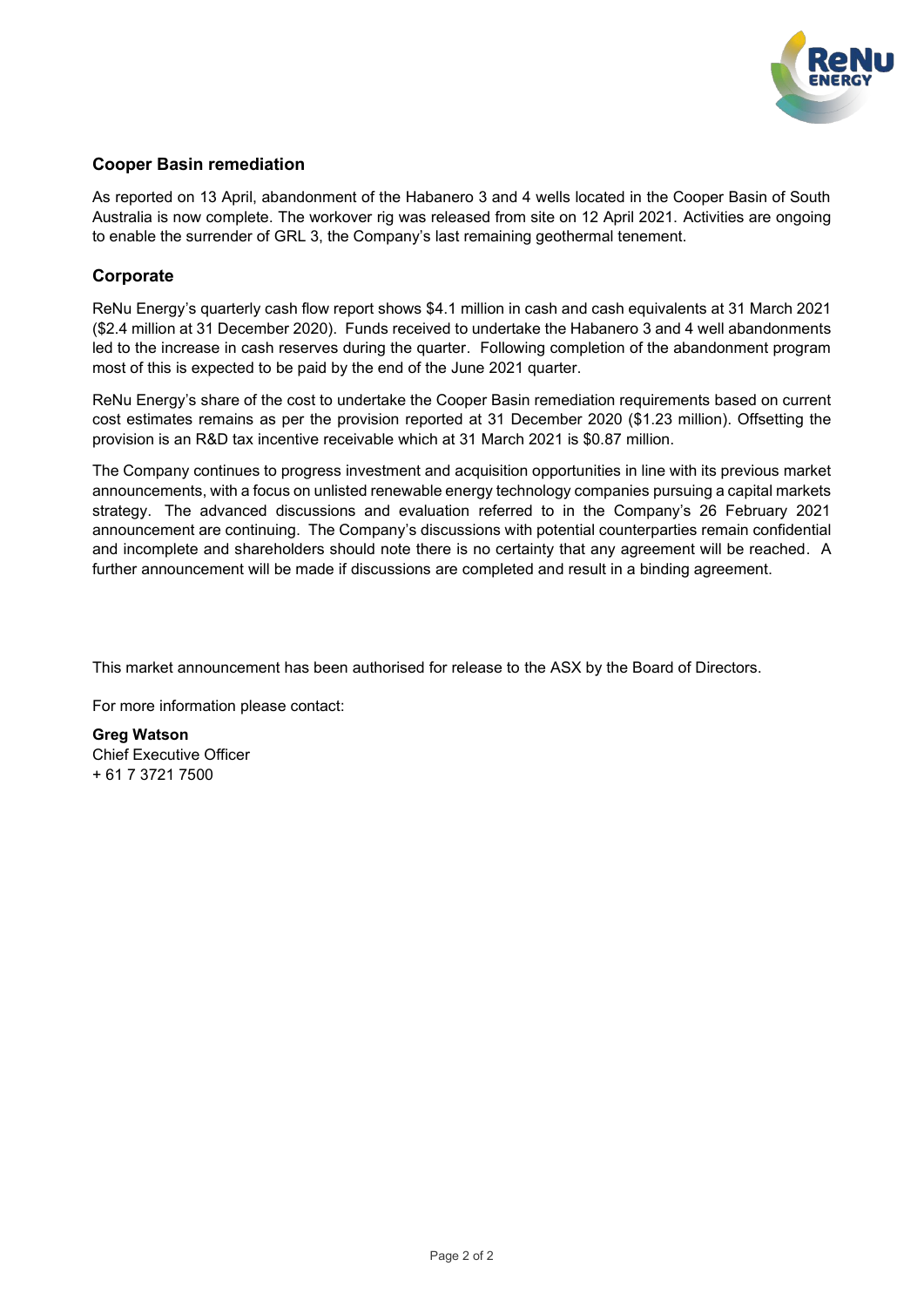

#### **Cooper Basin remediation**

As reported on 13 April, abandonment of the Habanero 3 and 4 wells located in the Cooper Basin of South Australia is now complete. The workover rig was released from site on 12 April 2021. Activities are ongoing to enable the surrender of GRL 3, the Company's last remaining geothermal tenement.

#### **Corporate**

ReNu Energy's quarterly cash flow report shows \$4.1 million in cash and cash equivalents at 31 March 2021 (\$2.4 million at 31 December 2020). Funds received to undertake the Habanero 3 and 4 well abandonments led to the increase in cash reserves during the quarter. Following completion of the abandonment program most of this is expected to be paid by the end of the June 2021 quarter.

ReNu Energy's share of the cost to undertake the Cooper Basin remediation requirements based on current cost estimates remains as per the provision reported at 31 December 2020 (\$1.23 million). Offsetting the provision is an R&D tax incentive receivable which at 31 March 2021 is \$0.87 million.

The Company continues to progress investment and acquisition opportunities in line with its previous market announcements, with a focus on unlisted renewable energy technology companies pursuing a capital markets strategy. The advanced discussions and evaluation referred to in the Company's 26 February 2021 announcement are continuing. The Company's discussions with potential counterparties remain confidential and incomplete and shareholders should note there is no certainty that any agreement will be reached. A further announcement will be made if discussions are completed and result in a binding agreement.

This market announcement has been authorised for release to the ASX by the Board of Directors.

For more information please contact:

**Greg Watson** Chief Executive Officer + 61 7 3721 7500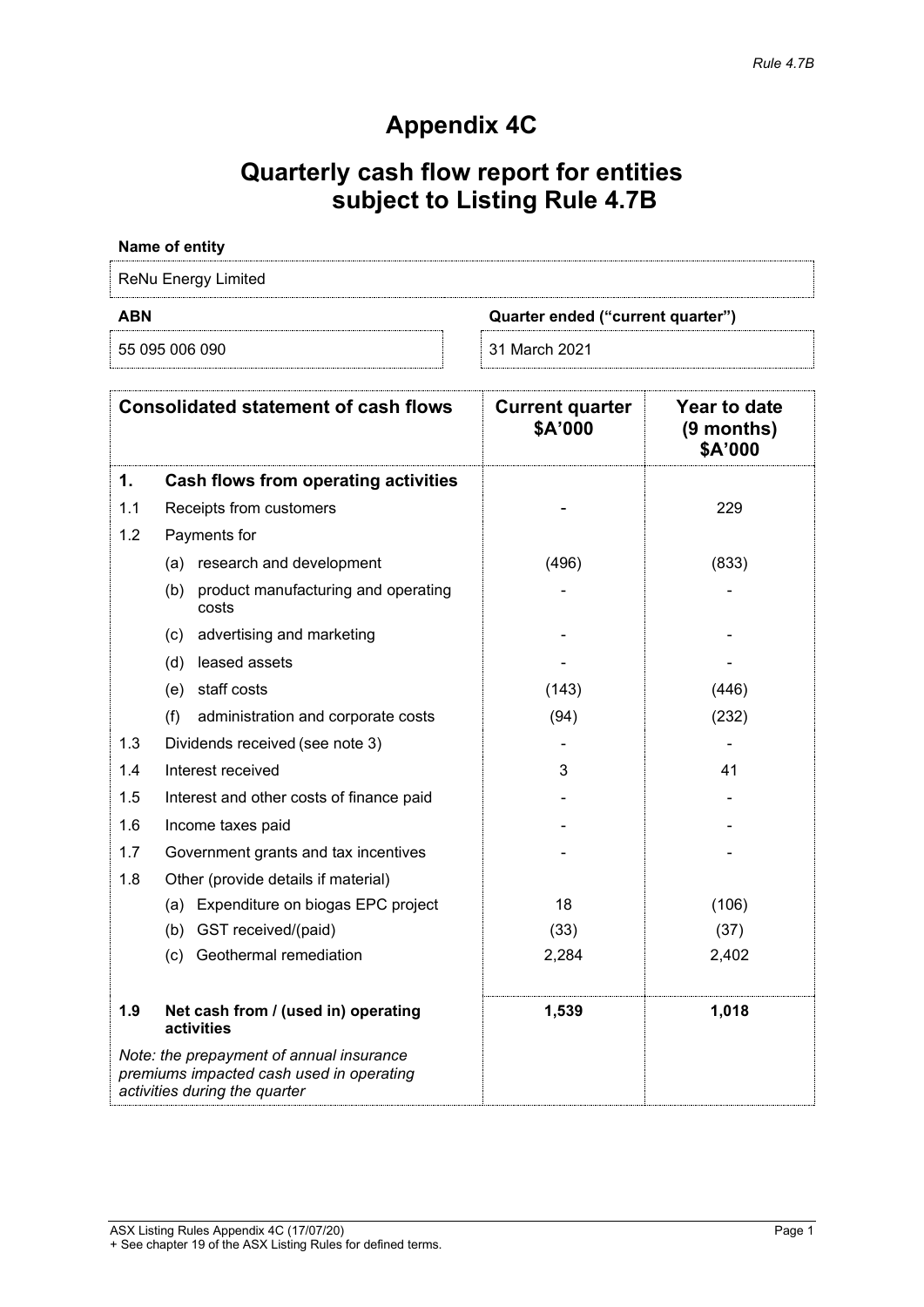# **Appendix 4C**

# **Quarterly cash flow report for entities subject to Listing Rule 4.7B**

| Name of entity                                  |  |  |
|-------------------------------------------------|--|--|
| ReNu Energy Limited                             |  |  |
| <b>ABN</b><br>Quarter ended ("current quarter") |  |  |
|                                                 |  |  |

| <b>Consolidated statement of cash flows</b> |                                                                                                                       | <b>Current quarter</b><br>\$A'000 | Year to date<br>$(9$ months)<br>\$A'000 |
|---------------------------------------------|-----------------------------------------------------------------------------------------------------------------------|-----------------------------------|-----------------------------------------|
| 1.                                          | Cash flows from operating activities                                                                                  |                                   |                                         |
| 1.1                                         | Receipts from customers                                                                                               |                                   | 229                                     |
| 1.2                                         | Payments for                                                                                                          |                                   |                                         |
|                                             | (a) research and development                                                                                          | (496)                             | (833)                                   |
|                                             | (b) product manufacturing and operating<br>costs                                                                      |                                   |                                         |
|                                             | (c) advertising and marketing                                                                                         |                                   |                                         |
|                                             | (d) leased assets                                                                                                     |                                   |                                         |
|                                             | (e) staff costs                                                                                                       | (143)                             | (446)                                   |
|                                             | (f)<br>administration and corporate costs                                                                             | (94)                              | (232)                                   |
| 1.3                                         | Dividends received (see note 3)                                                                                       |                                   |                                         |
| 1.4                                         | Interest received                                                                                                     | 3                                 | 41                                      |
| 1.5                                         | Interest and other costs of finance paid                                                                              |                                   |                                         |
| 1.6                                         | Income taxes paid                                                                                                     |                                   |                                         |
| 1.7                                         | Government grants and tax incentives                                                                                  |                                   |                                         |
| 1.8                                         | Other (provide details if material)                                                                                   |                                   |                                         |
|                                             | (a) Expenditure on biogas EPC project                                                                                 | 18                                | (106)                                   |
|                                             | (b) GST received/(paid)                                                                                               | (33)                              | (37)                                    |
|                                             | (c) Geothermal remediation                                                                                            | 2,284                             | 2,402                                   |
| 1.9                                         | Net cash from / (used in) operating<br>activities                                                                     | 1,539                             | 1,018                                   |
|                                             | Note: the prepayment of annual insurance<br>premiums impacted cash used in operating<br>activities during the quarter |                                   |                                         |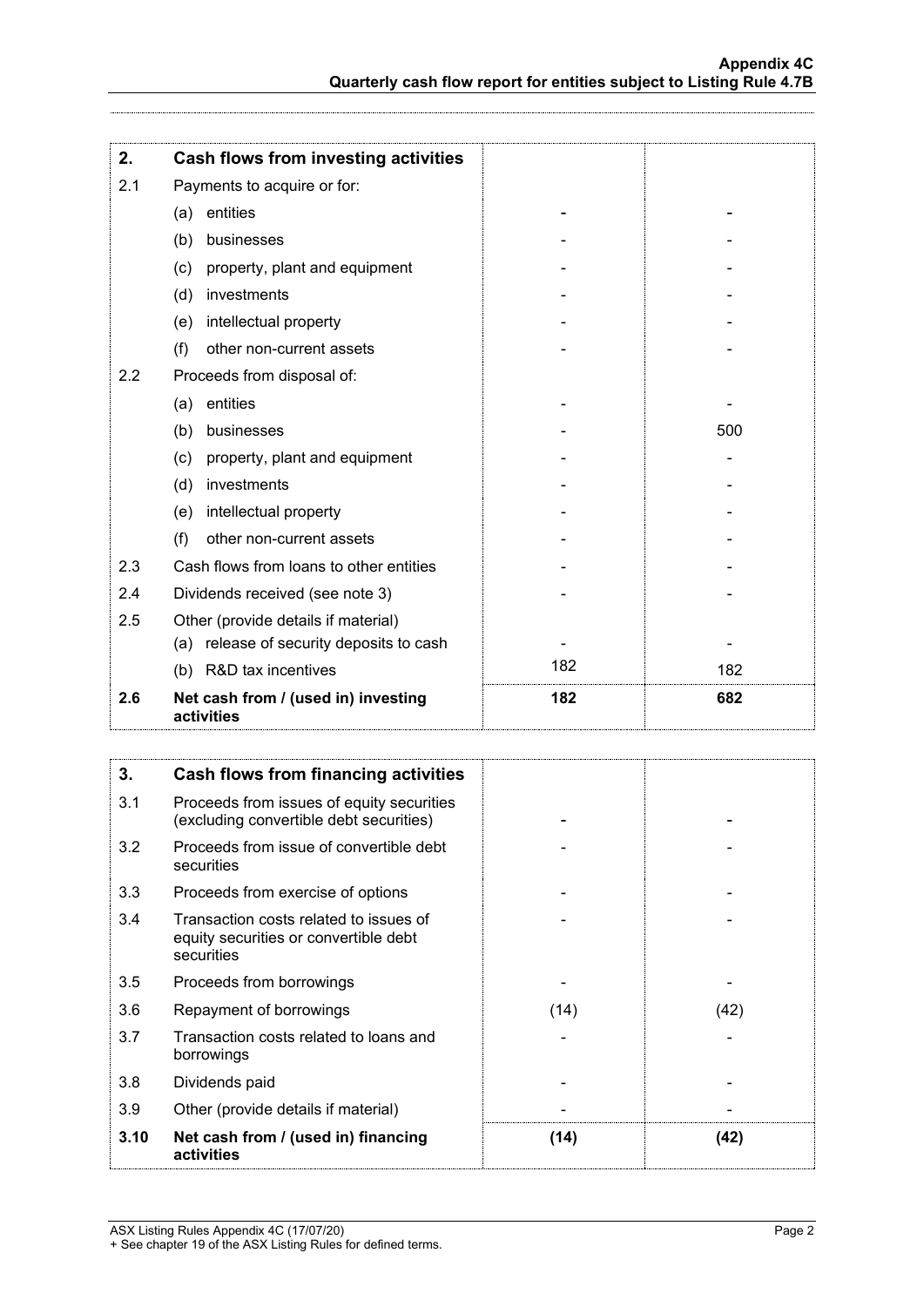| 2.  | Cash flows from investing activities              |     |     |
|-----|---------------------------------------------------|-----|-----|
| 2.1 | Payments to acquire or for:                       |     |     |
|     | entities<br>(a)                                   |     |     |
|     | businesses<br>(b)                                 |     |     |
|     | property, plant and equipment<br>(c)              |     |     |
|     | investments<br>(d)                                |     |     |
|     | intellectual property<br>(e)                      |     |     |
|     | (f)<br>other non-current assets                   |     |     |
| 2.2 | Proceeds from disposal of:                        |     |     |
|     | entities<br>(a)                                   |     |     |
|     | businesses<br>(b)                                 |     | 500 |
|     | property, plant and equipment<br>(c)              |     |     |
|     | (d)<br>investments                                |     |     |
|     | intellectual property<br>(e)                      |     |     |
|     | other non-current assets<br>(f)                   |     |     |
| 2.3 | Cash flows from loans to other entities           |     |     |
| 2.4 | Dividends received (see note 3)                   |     |     |
| 2.5 | Other (provide details if material)               |     |     |
|     | (a) release of security deposits to cash          |     |     |
|     | (b) R&D tax incentives                            | 182 | 182 |
| 2.6 | Net cash from / (used in) investing<br>activities | 182 | 682 |

| 3.   | Cash flows from financing activities                                                          |      |      |
|------|-----------------------------------------------------------------------------------------------|------|------|
| 3.1  | Proceeds from issues of equity securities<br>(excluding convertible debt securities)          |      |      |
| 3.2  | Proceeds from issue of convertible debt<br>securities                                         |      |      |
| 3.3  | Proceeds from exercise of options                                                             |      |      |
| 3.4  | Transaction costs related to issues of<br>equity securities or convertible debt<br>securities |      |      |
| 3.5  | Proceeds from borrowings                                                                      |      |      |
| 3.6  | Repayment of borrowings                                                                       | (14) | (42) |
| 3.7  | Transaction costs related to loans and<br>borrowings                                          |      |      |
| 3.8  | Dividends paid                                                                                |      |      |
| 3.9  | Other (provide details if material)                                                           |      |      |
| 3.10 | Net cash from / (used in) financing<br>activities                                             | (14) | (42) |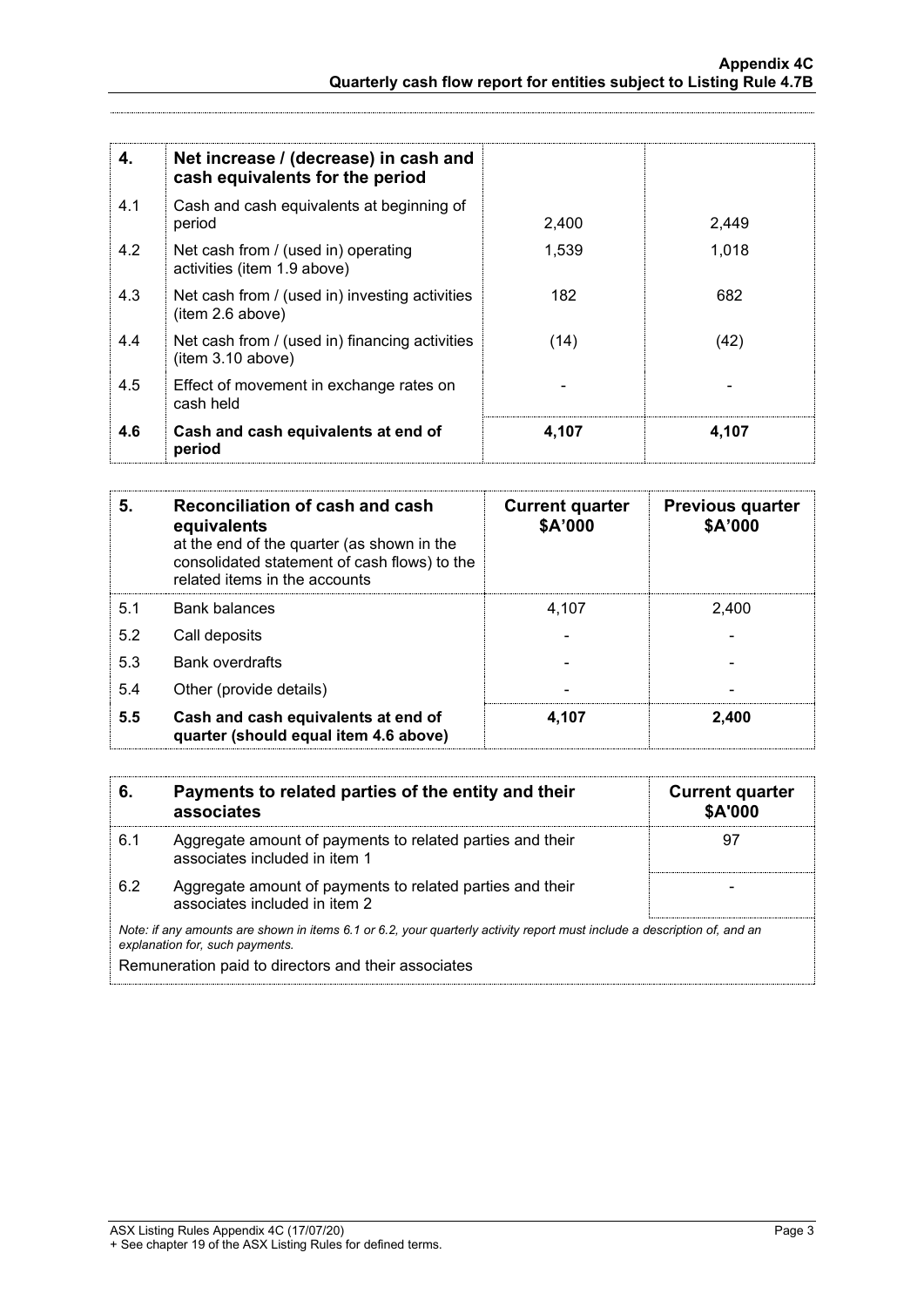| 4.  | Net increase / (decrease) in cash and<br>cash equivalents for the period |       |       |
|-----|--------------------------------------------------------------------------|-------|-------|
| 4.1 | Cash and cash equivalents at beginning of<br>period                      | 2,400 | 2,449 |
| 4.2 | Net cash from / (used in) operating<br>activities (item 1.9 above)       | 1,539 | 1,018 |
| 4.3 | Net cash from / (used in) investing activities<br>(item 2.6 above)       | 182   | 682   |
| 4.4 | Net cash from / (used in) financing activities<br>item 3.10 above)       | (14)  | (42)  |
| 4.5 | Effect of movement in exchange rates on<br>cash held                     |       |       |
| 4.6 | Cash and cash equivalents at end of<br>period                            | 4,107 | 4,107 |

| 5.  | Reconciliation of cash and cash<br>equivalents<br>at the end of the quarter (as shown in the<br>consolidated statement of cash flows) to the<br>related items in the accounts | <b>Current quarter</b><br>\$A'000 | <b>Previous quarter</b><br>\$A'000 |
|-----|-------------------------------------------------------------------------------------------------------------------------------------------------------------------------------|-----------------------------------|------------------------------------|
| 5.1 | <b>Bank balances</b>                                                                                                                                                          | 4.107                             | 2.400                              |
| 5.2 | Call deposits                                                                                                                                                                 |                                   |                                    |
| 5.3 | <b>Bank overdrafts</b>                                                                                                                                                        |                                   |                                    |
| 5.4 | Other (provide details)                                                                                                                                                       |                                   |                                    |
| 5.5 | Cash and cash equivalents at end of<br>quarter (should equal item 4.6 above)                                                                                                  | 4.107                             | 2.400                              |

| 6.                                                                                                                                                          | Payments to related parties of the entity and their<br>associates                          | <b>Current quarter</b><br>\$A'000 |
|-------------------------------------------------------------------------------------------------------------------------------------------------------------|--------------------------------------------------------------------------------------------|-----------------------------------|
| 6.1                                                                                                                                                         | Aggregate amount of payments to related parties and their<br>associates included in item 1 | 97                                |
| 6.2                                                                                                                                                         | Aggregate amount of payments to related parties and their<br>associates included in item 2 |                                   |
| Note: if any amounts are shown in items 6.1 or 6.2, your quarterly activity report must include a description of, and an<br>explanation for, such payments. |                                                                                            |                                   |
| Remuneration paid to directors and their associates                                                                                                         |                                                                                            |                                   |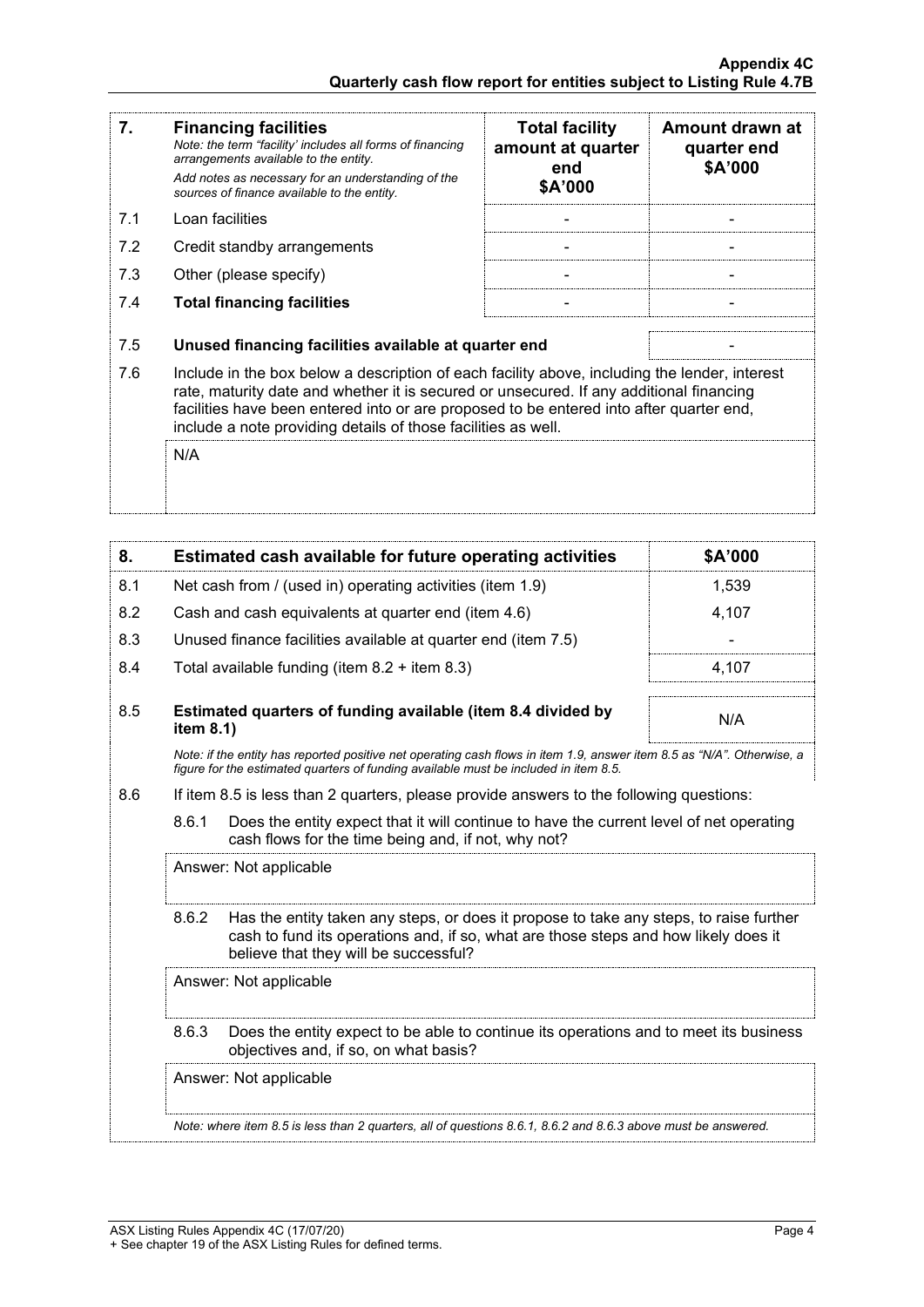| 7.  | <b>Financing facilities</b><br>Note: the term "facility' includes all forms of financing<br>arrangements available to the entity.<br>Add notes as necessary for an understanding of the<br>sources of finance available to the entity.                                                                                                               | <b>Total facility</b><br>amount at quarter<br>end<br>\$A'000 | Amount drawn at<br>quarter end<br>\$A'000 |
|-----|------------------------------------------------------------------------------------------------------------------------------------------------------------------------------------------------------------------------------------------------------------------------------------------------------------------------------------------------------|--------------------------------------------------------------|-------------------------------------------|
| 7.1 | Loan facilities                                                                                                                                                                                                                                                                                                                                      |                                                              |                                           |
| 7.2 | Credit standby arrangements                                                                                                                                                                                                                                                                                                                          |                                                              |                                           |
| 7.3 | Other (please specify)                                                                                                                                                                                                                                                                                                                               |                                                              |                                           |
| 7.4 | <b>Total financing facilities</b>                                                                                                                                                                                                                                                                                                                    |                                                              |                                           |
| 7.5 | Unused financing facilities available at quarter end                                                                                                                                                                                                                                                                                                 |                                                              |                                           |
| 7.6 | Include in the box below a description of each facility above, including the lender, interest<br>rate, maturity date and whether it is secured or unsecured. If any additional financing<br>facilities have been entered into or are proposed to be entered into after quarter end,<br>include a note providing details of those facilities as well. |                                                              |                                           |
|     | N/A                                                                                                                                                                                                                                                                                                                                                  |                                                              |                                           |

| 8.  |                                                                                                                                         | Estimated cash available for future operating activities                                                                                                                                                               | \$A'000 |
|-----|-----------------------------------------------------------------------------------------------------------------------------------------|------------------------------------------------------------------------------------------------------------------------------------------------------------------------------------------------------------------------|---------|
| 8.1 |                                                                                                                                         | Net cash from / (used in) operating activities (item 1.9)                                                                                                                                                              | 1,539   |
| 8.2 |                                                                                                                                         | Cash and cash equivalents at quarter end (item 4.6)                                                                                                                                                                    | 4,107   |
| 8.3 |                                                                                                                                         | Unused finance facilities available at quarter end (item 7.5)                                                                                                                                                          |         |
| 8.4 |                                                                                                                                         | Total available funding (item $8.2 +$ item $8.3$ )                                                                                                                                                                     | 4,107   |
| 8.5 | item 8.1)                                                                                                                               | Estimated quarters of funding available (item 8.4 divided by                                                                                                                                                           | N/A     |
|     |                                                                                                                                         | Note: if the entity has reported positive net operating cash flows in item 1.9, answer item 8.5 as "N/A". Otherwise, a<br>figure for the estimated quarters of funding available must be included in item 8.5.         |         |
| 8.6 |                                                                                                                                         | If item 8.5 is less than 2 quarters, please provide answers to the following questions:                                                                                                                                |         |
|     | 8.6.1                                                                                                                                   | Does the entity expect that it will continue to have the current level of net operating<br>cash flows for the time being and, if not, why not?                                                                         |         |
|     | Answer: Not applicable                                                                                                                  |                                                                                                                                                                                                                        |         |
|     | 8.6.2                                                                                                                                   | Has the entity taken any steps, or does it propose to take any steps, to raise further<br>cash to fund its operations and, if so, what are those steps and how likely does it<br>believe that they will be successful? |         |
|     |                                                                                                                                         | Answer: Not applicable                                                                                                                                                                                                 |         |
|     | 8.6.3<br>Does the entity expect to be able to continue its operations and to meet its business<br>objectives and, if so, on what basis? |                                                                                                                                                                                                                        |         |
|     |                                                                                                                                         | Answer: Not applicable                                                                                                                                                                                                 |         |
|     |                                                                                                                                         | Note: where item 8.5 is less than 2 quarters, all of questions 8.6.1, 8.6.2 and 8.6.3 above must be answered.                                                                                                          |         |
|     |                                                                                                                                         |                                                                                                                                                                                                                        |         |